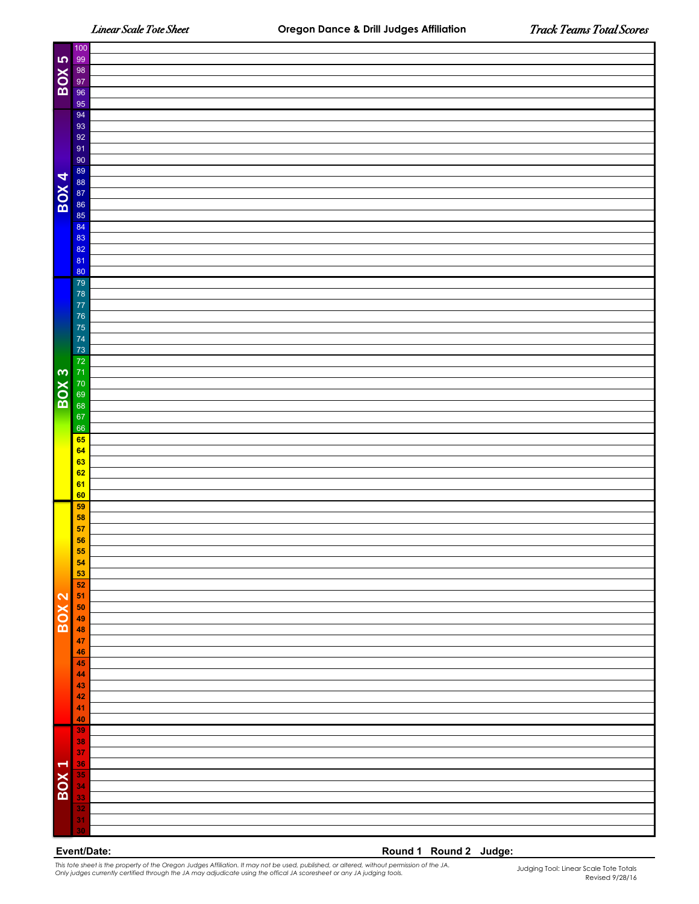T

| BOX 5             | 99<br>98<br>97<br>96                                                                                                                                                                                                                                                       |                        |  |  |  |
|-------------------|----------------------------------------------------------------------------------------------------------------------------------------------------------------------------------------------------------------------------------------------------------------------------|------------------------|--|--|--|
|                   |                                                                                                                                                                                                                                                                            |                        |  |  |  |
|                   | 95                                                                                                                                                                                                                                                                         |                        |  |  |  |
|                   | 94<br>93                                                                                                                                                                                                                                                                   |                        |  |  |  |
|                   | 92                                                                                                                                                                                                                                                                         |                        |  |  |  |
|                   | 91                                                                                                                                                                                                                                                                         |                        |  |  |  |
|                   | 90                                                                                                                                                                                                                                                                         |                        |  |  |  |
|                   |                                                                                                                                                                                                                                                                            |                        |  |  |  |
| $\overline{BOX4}$ | 89<br>88<br>87<br>86<br>85                                                                                                                                                                                                                                                 |                        |  |  |  |
|                   |                                                                                                                                                                                                                                                                            |                        |  |  |  |
|                   |                                                                                                                                                                                                                                                                            |                        |  |  |  |
|                   | 84                                                                                                                                                                                                                                                                         |                        |  |  |  |
|                   | 83                                                                                                                                                                                                                                                                         |                        |  |  |  |
|                   | 82                                                                                                                                                                                                                                                                         |                        |  |  |  |
|                   | 81                                                                                                                                                                                                                                                                         |                        |  |  |  |
|                   | 80                                                                                                                                                                                                                                                                         |                        |  |  |  |
|                   | 79                                                                                                                                                                                                                                                                         |                        |  |  |  |
|                   | 78                                                                                                                                                                                                                                                                         |                        |  |  |  |
|                   | 77                                                                                                                                                                                                                                                                         |                        |  |  |  |
|                   | 76                                                                                                                                                                                                                                                                         |                        |  |  |  |
|                   | 75<br>74                                                                                                                                                                                                                                                                   |                        |  |  |  |
|                   | 73                                                                                                                                                                                                                                                                         |                        |  |  |  |
|                   |                                                                                                                                                                                                                                                                            |                        |  |  |  |
| BOX 3             | 72<br>71<br>70<br>69                                                                                                                                                                                                                                                       |                        |  |  |  |
|                   |                                                                                                                                                                                                                                                                            |                        |  |  |  |
|                   |                                                                                                                                                                                                                                                                            |                        |  |  |  |
|                   | 68                                                                                                                                                                                                                                                                         |                        |  |  |  |
|                   | 67                                                                                                                                                                                                                                                                         |                        |  |  |  |
|                   | 66<br>65                                                                                                                                                                                                                                                                   |                        |  |  |  |
|                   | 64                                                                                                                                                                                                                                                                         |                        |  |  |  |
|                   | 63                                                                                                                                                                                                                                                                         |                        |  |  |  |
|                   | 62                                                                                                                                                                                                                                                                         |                        |  |  |  |
|                   | 61                                                                                                                                                                                                                                                                         |                        |  |  |  |
|                   | 60                                                                                                                                                                                                                                                                         |                        |  |  |  |
|                   | 59                                                                                                                                                                                                                                                                         |                        |  |  |  |
|                   | 58<br>57                                                                                                                                                                                                                                                                   |                        |  |  |  |
|                   | 56                                                                                                                                                                                                                                                                         |                        |  |  |  |
|                   |                                                                                                                                                                                                                                                                            |                        |  |  |  |
|                   | 55<br>54                                                                                                                                                                                                                                                                   |                        |  |  |  |
|                   | 53                                                                                                                                                                                                                                                                         |                        |  |  |  |
|                   | 52                                                                                                                                                                                                                                                                         |                        |  |  |  |
|                   | 51                                                                                                                                                                                                                                                                         |                        |  |  |  |
|                   | 50<br>49                                                                                                                                                                                                                                                                   |                        |  |  |  |
| BOX 2             | 48                                                                                                                                                                                                                                                                         |                        |  |  |  |
|                   | 47                                                                                                                                                                                                                                                                         |                        |  |  |  |
|                   | 46                                                                                                                                                                                                                                                                         |                        |  |  |  |
|                   | 45                                                                                                                                                                                                                                                                         |                        |  |  |  |
|                   | 44                                                                                                                                                                                                                                                                         |                        |  |  |  |
|                   | 43                                                                                                                                                                                                                                                                         |                        |  |  |  |
|                   | 42<br>41                                                                                                                                                                                                                                                                   |                        |  |  |  |
|                   | 40                                                                                                                                                                                                                                                                         |                        |  |  |  |
|                   | 39                                                                                                                                                                                                                                                                         |                        |  |  |  |
|                   | 38                                                                                                                                                                                                                                                                         |                        |  |  |  |
|                   | 37                                                                                                                                                                                                                                                                         |                        |  |  |  |
| <b>BOX 1</b>      | 36                                                                                                                                                                                                                                                                         |                        |  |  |  |
|                   | 35                                                                                                                                                                                                                                                                         |                        |  |  |  |
|                   | 34<br>33                                                                                                                                                                                                                                                                   |                        |  |  |  |
|                   | 32                                                                                                                                                                                                                                                                         |                        |  |  |  |
|                   | 31                                                                                                                                                                                                                                                                         |                        |  |  |  |
|                   | 30                                                                                                                                                                                                                                                                         |                        |  |  |  |
| Event/Date:       |                                                                                                                                                                                                                                                                            |                        |  |  |  |
|                   |                                                                                                                                                                                                                                                                            | Round 1 Round 2 Judge: |  |  |  |
|                   | This tote sheet is the property of the Oregon Judges Affiliation. It may not be used, published, or altered, without permission of the JA.<br>Only judges currently certified through the JA may adjudicate using the offical JA<br>Judging Tool: Linear Scale Tote Totals |                        |  |  |  |

*This tote sheet is the property of the Oregon Judges Affiliation. It may not be used, published, or altered, without permission of the JA.*